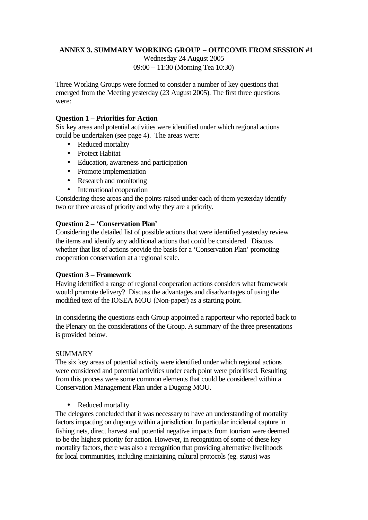# **ANNEX 3. SUMMARY WORKING GROUP – OUTCOME FROM SESSION #1**

Wednesday 24 August 2005 09:00 – 11:30 (Morning Tea 10:30)

Three Working Groups were formed to consider a number of key questions that emerged from the Meeting yesterday (23 August 2005). The first three questions were:

## **Question 1 – Priorities for Action**

Six key areas and potential activities were identified under which regional actions could be undertaken (see page 4). The areas were:

- Reduced mortality
- Protect Habitat
- Education, awareness and participation
- Promote implementation
- Research and monitoring
- International cooperation

Considering these areas and the points raised under each of them yesterday identify two or three areas of priority and why they are a priority.

## **Question 2 – 'Conservation Plan'**

Considering the detailed list of possible actions that were identified yesterday review the items and identify any additional actions that could be considered. Discuss whether that list of actions provide the basis for a 'Conservation Plan' promoting cooperation conservation at a regional scale.

## **Question 3 – Framework**

Having identified a range of regional cooperation actions considers what framework would promote delivery? Discuss the advantages and disadvantages of using the modified text of the IOSEA MOU (Non-paper) as a starting point.

In considering the questions each Group appointed a rapporteur who reported back to the Plenary on the considerations of the Group. A summary of the three presentations is provided below.

## SUMMARY

The six key areas of potential activity were identified under which regional actions were considered and potential activities under each point were prioritised. Resulting from this process were some common elements that could be considered within a Conservation Management Plan under a Dugong MOU.

• Reduced mortality

The delegates concluded that it was necessary to have an understanding of mortality factors impacting on dugongs within a jurisdiction. In particular incidental capture in fishing nets, direct harvest and potential negative impacts from tourism were deemed to be the highest priority for action. However, in recognition of some of these key mortality factors, there was also a recognition that providing alternative livelihoods for local communities, including maintaining cultural protocols (eg. status) was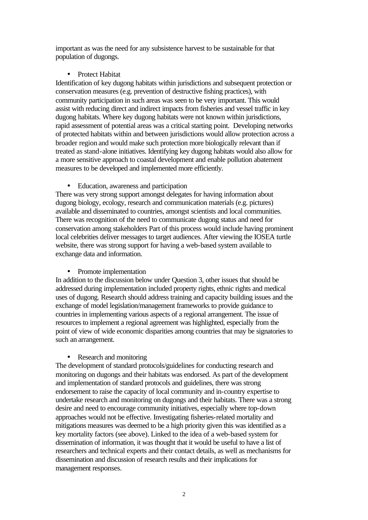important as was the need for any subsistence harvest to be sustainable for that population of dugongs.

## • Protect Habitat

Identification of key dugong habitats within jurisdictions and subsequent protection or conservation measures (e.g. prevention of destructive fishing practices), with community participation in such areas was seen to be very important. This would assist with reducing direct and indirect impacts from fisheries and vessel traffic in key dugong habitats. Where key dugong habitats were not known within jurisdictions, rapid assessment of potential areas was a critical starting point. Developing networks of protected habitats within and between jurisdictions would allow protection across a broader region and would make such protection more biologically relevant than if treated as stand-alone initiatives. Identifying key dugong habitats would also allow for a more sensitive approach to coastal development and enable pollution abatement measures to be developed and implemented more efficiently.

• Education, awareness and participation

There was very strong support amongst delegates for having information about dugong biology, ecology, research and communication materials (e.g. pictures) available and disseminated to countries, amongst scientists and local communities. There was recognition of the need to communicate dugong status and need for conservation among stakeholders Part of this process would include having prominent local celebrities deliver messages to target audiences. After viewing the IOSEA turtle website, there was strong support for having a web-based system available to exchange data and information.

## • Promote implementation

In addition to the discussion below under Question 3, other issues that should be addressed during implementation included property rights, ethnic rights and medical uses of dugong. Research should address training and capacity building issues and the exchange of model legislation/management frameworks to provide guidance to countries in implementing various aspects of a regional arrangement. The issue of resources to implement a regional agreement was highlighted, especially from the point of view of wide economic disparities among countries that may be signatories to such an arrangement.

## • Research and monitoring

The development of standard protocols/guidelines for conducting research and monitoring on dugongs and their habitats was endorsed. As part of the development and implementation of standard protocols and guidelines, there was strong endorsement to raise the capacity of local community and in-country expertise to undertake research and monitoring on dugongs and their habitats. There was a strong desire and need to encourage community initiatives, especially where top-down approaches would not be effective. Investigating fisheries-related mortality and mitigations measures was deemed to be a high priority given this was identified as a key mortality factors (see above). Linked to the idea of a web-based system for dissemination of information, it was thought that it would be useful to have a list of researchers and technical experts and their contact details, as well as mechanisms for dissemination and discussion of research results and their implications for management responses.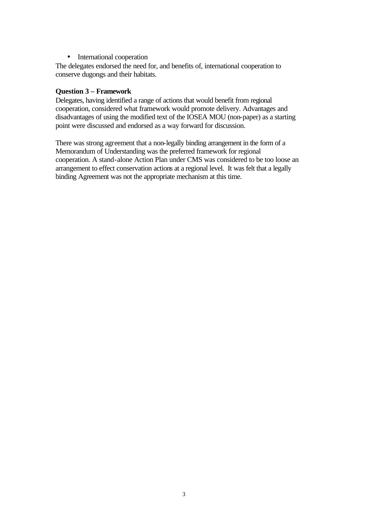• International cooperation

The delegates endorsed the need for, and benefits of, international cooperation to conserve dugongs and their habitats.

## **Question 3 – Framework**

Delegates, having identified a range of actions that would benefit from regional cooperation, considered what framework would promote delivery. Advantages and disadvantages of using the modified text of the IOSEA MOU (non-paper) as a starting point were discussed and endorsed as a way forward for discussion.

There was strong agreement that a non-legally binding arrangement in the form of a Memorandum of Understanding was the preferred framework for regional cooperation. A stand-alone Action Plan under CMS was considered to be too loose an arrangement to effect conservation actions at a regional level. It was felt that a legally binding Agreement was not the appropriate mechanism at this time.